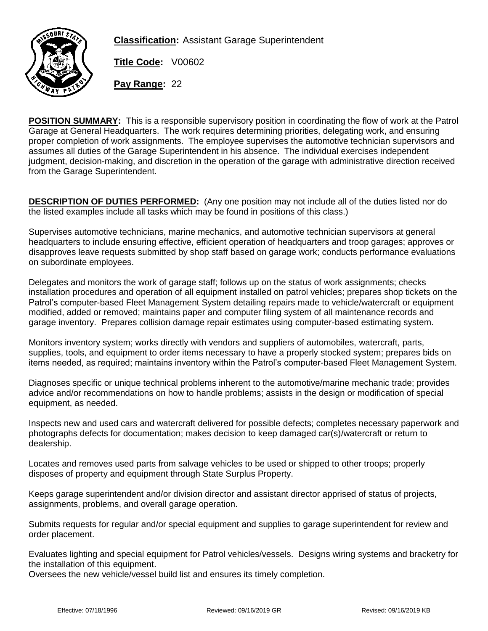

**Classification:** Assistant Garage Superintendent

**Title Code:** V00602

**Pay Range:** 22

**POSITION SUMMARY:** This is a responsible supervisory position in coordinating the flow of work at the Patrol Garage at General Headquarters. The work requires determining priorities, delegating work, and ensuring proper completion of work assignments. The employee supervises the automotive technician supervisors and assumes all duties of the Garage Superintendent in his absence. The individual exercises independent judgment, decision-making, and discretion in the operation of the garage with administrative direction received from the Garage Superintendent.

**DESCRIPTION OF DUTIES PERFORMED:** (Any one position may not include all of the duties listed nor do the listed examples include all tasks which may be found in positions of this class.)

Supervises automotive technicians, marine mechanics, and automotive technician supervisors at general headquarters to include ensuring effective, efficient operation of headquarters and troop garages; approves or disapproves leave requests submitted by shop staff based on garage work; conducts performance evaluations on subordinate employees.

Delegates and monitors the work of garage staff; follows up on the status of work assignments; checks installation procedures and operation of all equipment installed on patrol vehicles; prepares shop tickets on the Patrol's computer-based Fleet Management System detailing repairs made to vehicle/watercraft or equipment modified, added or removed; maintains paper and computer filing system of all maintenance records and garage inventory. Prepares collision damage repair estimates using computer-based estimating system.

Monitors inventory system; works directly with vendors and suppliers of automobiles, watercraft, parts, supplies, tools, and equipment to order items necessary to have a properly stocked system; prepares bids on items needed, as required; maintains inventory within the Patrol's computer-based Fleet Management System.

Diagnoses specific or unique technical problems inherent to the automotive/marine mechanic trade; provides advice and/or recommendations on how to handle problems; assists in the design or modification of special equipment, as needed.

Inspects new and used cars and watercraft delivered for possible defects; completes necessary paperwork and photographs defects for documentation; makes decision to keep damaged car(s)/watercraft or return to dealership.

Locates and removes used parts from salvage vehicles to be used or shipped to other troops; properly disposes of property and equipment through State Surplus Property.

Keeps garage superintendent and/or division director and assistant director apprised of status of projects, assignments, problems, and overall garage operation.

Submits requests for regular and/or special equipment and supplies to garage superintendent for review and order placement.

Evaluates lighting and special equipment for Patrol vehicles/vessels. Designs wiring systems and bracketry for the installation of this equipment.

Oversees the new vehicle/vessel build list and ensures its timely completion.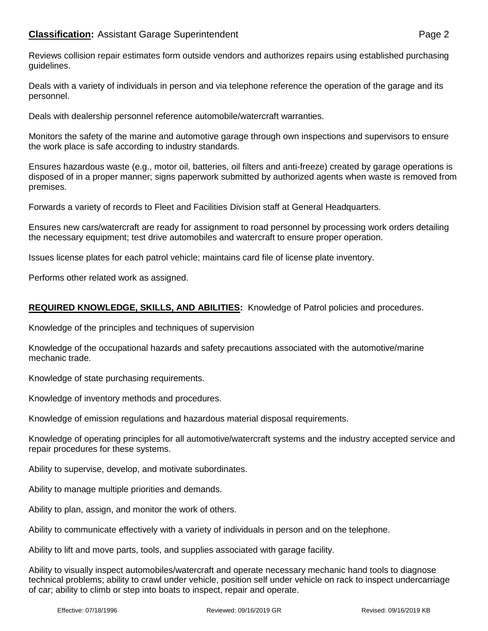Deals with a variety of individuals in person and via telephone reference the operation of the garage and its personnel.

Deals with dealership personnel reference automobile/watercraft warranties.

Monitors the safety of the marine and automotive garage through own inspections and supervisors to ensure the work place is safe according to industry standards.

Ensures hazardous waste (e.g., motor oil, batteries, oil filters and anti-freeze) created by garage operations is disposed of in a proper manner; signs paperwork submitted by authorized agents when waste is removed from premises.

Forwards a variety of records to Fleet and Facilities Division staff at General Headquarters.

Ensures new cars/watercraft are ready for assignment to road personnel by processing work orders detailing the necessary equipment; test drive automobiles and watercraft to ensure proper operation.

Issues license plates for each patrol vehicle; maintains card file of license plate inventory.

Performs other related work as assigned.

## **REQUIRED KNOWLEDGE, SKILLS, AND ABILITIES:** Knowledge of Patrol policies and procedures.

Knowledge of the principles and techniques of supervision

Knowledge of the occupational hazards and safety precautions associated with the automotive/marine mechanic trade.

Knowledge of state purchasing requirements.

Knowledge of inventory methods and procedures.

Knowledge of emission regulations and hazardous material disposal requirements.

Knowledge of operating principles for all automotive/watercraft systems and the industry accepted service and repair procedures for these systems.

Ability to supervise, develop, and motivate subordinates.

Ability to manage multiple priorities and demands.

Ability to plan, assign, and monitor the work of others.

Ability to communicate effectively with a variety of individuals in person and on the telephone.

Ability to lift and move parts, tools, and supplies associated with garage facility.

Ability to visually inspect automobiles/watercraft and operate necessary mechanic hand tools to diagnose technical problems; ability to crawl under vehicle, position self under vehicle on rack to inspect undercarriage of car; ability to climb or step into boats to inspect, repair and operate.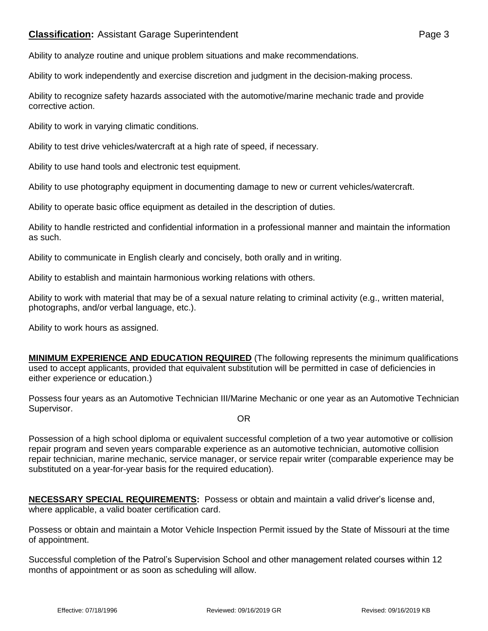## **Classification:** Assistant Garage Superintendent **Page 3** Page 3

Ability to analyze routine and unique problem situations and make recommendations.

Ability to work independently and exercise discretion and judgment in the decision-making process.

Ability to recognize safety hazards associated with the automotive/marine mechanic trade and provide corrective action.

Ability to work in varying climatic conditions.

Ability to test drive vehicles/watercraft at a high rate of speed, if necessary.

Ability to use hand tools and electronic test equipment.

Ability to use photography equipment in documenting damage to new or current vehicles/watercraft.

Ability to operate basic office equipment as detailed in the description of duties.

Ability to handle restricted and confidential information in a professional manner and maintain the information as such.

Ability to communicate in English clearly and concisely, both orally and in writing.

Ability to establish and maintain harmonious working relations with others.

Ability to work with material that may be of a sexual nature relating to criminal activity (e.g., written material, photographs, and/or verbal language, etc.).

Ability to work hours as assigned.

**MINIMUM EXPERIENCE AND EDUCATION REQUIRED** (The following represents the minimum qualifications used to accept applicants, provided that equivalent substitution will be permitted in case of deficiencies in either experience or education.)

Possess four years as an Automotive Technician III/Marine Mechanic or one year as an Automotive Technician Supervisor.

OR

Possession of a high school diploma or equivalent successful completion of a two year automotive or collision repair program and seven years comparable experience as an automotive technician, automotive collision repair technician, marine mechanic, service manager, or service repair writer (comparable experience may be substituted on a year-for-year basis for the required education).

**NECESSARY SPECIAL REQUIREMENTS:** Possess or obtain and maintain a valid driver's license and, where applicable, a valid boater certification card.

Possess or obtain and maintain a Motor Vehicle Inspection Permit issued by the State of Missouri at the time of appointment.

Successful completion of the Patrol's Supervision School and other management related courses within 12 months of appointment or as soon as scheduling will allow.